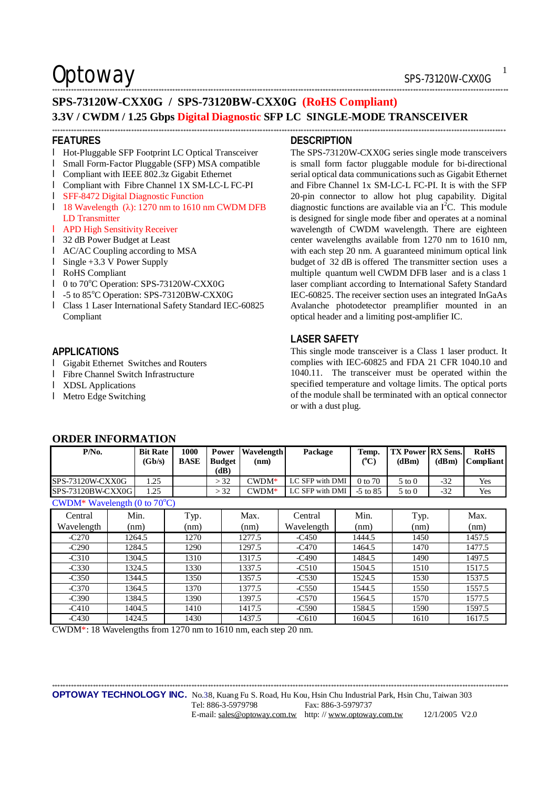## Optoway SPS-73120W-CXX0G

## \*\*\*\*\*\*\*\*\*\*\*\*\*\*\*\*\*\*\*\*\*\*\*\*\*\*\*\*\*\*\*\*\*\*\*\*\*\*\*\*\*\*\*\*\*\*\*\*\*\*\*\*\*\*\*\*\*\*\*\*\*\*\*\*\*\*\*\*\*\*\*\*\*\*\*\*\*\*\*\*\*\*\*\*\*\*\*\*\*\*\*\*\*\*\*\*\*\*\*\*\*\*\*\*\*\*\*\*\*\*\*\*\*\*\*\*\*\*\*\*\*\*\*\*\*\*\*\*\*\*\*\*\*\*\*\*\*\*\*\*\*\*\*\*\*\*\*\*\*\*\*\*\*\*\*\*\*\*\*\*\*\*\*\*\*\*\* **SPS-73120W-CXX0G / SPS-73120BW-CXX0G (RoHS Compliant) 3.3V / CWDM / 1.25 Gbps Digital Diagnostic SFP LC SINGLE-MODE TRANSCEIVER**

#### **FEATURES**

- l Hot-Pluggable SFP Footprint LC Optical Transceiver
- l Small Form-Factor Pluggable (SFP) MSA compatible
- l Compliant with IEEE 802.3z Gigabit Ethernet
- l Compliant with Fibre Channel 1X SM-LC-L FC-PI
- l SFF-8472 Digital Diagnostic Function
- l 18 Wavelength (λ): 1270 nm to 1610 nm CWDM DFB LD Transmitter
- l APD High Sensitivity Receiver
- l 32 dB Power Budget at Least
- l AC/AC Coupling according to MSA
- l Single +3.3 V Power Supply
- l RoHS Compliant
- l 0 to 70°C Operation: SPS-73120W-CXX0G
- l -5 to 85°C Operation: SPS-73120BW-CXX0G
- l Class 1 Laser International Safety Standard IEC-60825 Compliant

## **APPLICATIONS**

- l Gigabit Ethernet Switches and Routers
- l Fibre Channel Switch Infrastructure
- l XDSL Applications
- l Metro Edge Switching

#### \*\*\*\*\*\*\*\*\*\*\*\*\*\*\*\*\*\*\*\*\*\*\*\*\*\*\*\*\*\*\*\*\*\*\*\*\*\*\*\*\*\*\*\*\*\*\*\*\*\*\*\*\*\*\*\*\*\*\*\*\*\*\*\*\*\*\*\*\*\*\*\*\*\*\*\*\*\*\*\*\*\*\*\*\*\*\*\*\*\*\*\*\*\*\*\*\*\*\*\*\*\*\*\*\*\*\*\*\*\*\*\*\*\*\*\*\*\*\*\*\*\*\*\*\*\*\*\*\*\*\*\*\*\*\*\*\*\*\*\*\*\*\*\*\*\*\*\*\*\*\*\*\*\*\*\*\*\*\*\*\*\*\*\*\*\* **DESCRIPTION**

The SPS-73120W-CXX0G series single mode transceivers is small form factor pluggable module for bi-directional serial optical data communications such as Gigabit Ethernet and Fibre Channel 1x SM-LC-L FC-PI. It is with the SFP 20-pin connector to allow hot plug capability. Digital diagnostic functions are available via an  $I<sup>2</sup>C$ . This module is designed for single mode fiber and operates at a nominal wavelength of CWDM wavelength. There are eighteen center wavelengths available from 1270 nm to 1610 nm, with each step 20 nm. A guaranteed minimum optical link budget of 32 dB is offered The transmitter section uses a multiple quantum well CWDM DFB laser and is a class 1 laser compliant according to International Safety Standard IEC-60825. The receiver section uses an integrated InGaAs Avalanche photodetector preamplifier mounted in an optical header and a limiting post-amplifier IC.

## **LASER SAFETY**

This single mode transceiver is a Class 1 laser product. It complies with IEC-60825 and FDA 21 CFR 1040.10 and 1040.11. The transceiver must be operated within the specified temperature and voltage limits. The optical ports of the module shall be terminated with an optical connector or with a dust plug.

| P/No.                                  |                          | <b>Bit Rate</b> | 1000        | Power                 | <b>Wavelength</b> | Package         |  | Temp.         | <b>TX Power   RX Sens.</b> |       | <b>RoHS</b>      |
|----------------------------------------|--------------------------|-----------------|-------------|-----------------------|-------------------|-----------------|--|---------------|----------------------------|-------|------------------|
|                                        |                          | (Gb/s)          | <b>BASE</b> | <b>Budget</b><br>(dB) | (nm)              |                 |  | $(^{\circ}C)$ | (dBm)                      | (dBm) | <b>Compliant</b> |
|                                        | SPS-73120W-CXX0G<br>1.25 |                 |             | > 32                  | $C WDM^*$         | LC SFP with DMI |  | 0 to 70       | $5 \text{ to } 0$          | $-32$ | Yes              |
| SPS-73120BW-CXX0G                      |                          | 1.25            |             | > 32                  | $C WDM^*$         | LC SFP with DMI |  | $-5$ to $85$  | $5 \text{ to } 0$          | $-32$ | Yes              |
| CWDM* Wavelength (0 to $70^{\circ}$ C) |                          |                 |             |                       |                   |                 |  |               |                            |       |                  |
| Central                                |                          | Min.            | Typ.        |                       | Max.              | Central         |  | Min.          | Typ.                       |       | Max.             |
| Wavelength                             |                          | (nm)            | (nm)        |                       | (nm)              | Wavelength      |  | (nm)          | (nm)                       |       | (nm)             |
| $-C270$                                |                          | 1264.5          | 1270        |                       | 1277.5            | $-C450$         |  | 1444.5        | 1450                       |       | 1457.5           |
| $-C290$                                |                          | 1284.5          | 1290        |                       | 1297.5            | $-C470$         |  | 1464.5        | 1470                       |       | 1477.5           |
| $-C310$                                |                          | 1304.5          | 1310        |                       | 1317.5            | $-C490$         |  | 1484.5        | 1490                       |       | 1497.5           |
| $-C330$                                |                          | 1324.5          | 1330        |                       | 1337.5            | $-C510$         |  | 1504.5        | 1510                       |       | 1517.5           |
| $-C350$                                |                          | 1344.5          | 1350        |                       | 1357.5            | $-C530$         |  | 1524.5        | 1530                       |       | 1537.5           |
| $-C370$                                |                          | 1364.5          | 1370        |                       | 1377.5            | $-C550$         |  | 1544.5        | 1550                       |       | 1557.5           |
| $-C390$                                |                          | 1384.5          | 1390        |                       | 1397.5            | $-C570$         |  | 1564.5        | 1570                       |       | 1577.5           |
| $-C410$                                |                          | 1404.5          | 1410        |                       | 1417.5            | $-C590$         |  | 1584.5        | 1590                       |       | 1597.5           |

-C430 | 1424.5 | 1430 | 1437.5 | -C610 | 1604.5 | 1610 | 1617.5

## **ORDER INFORMATION**

CWDM\*: 18 Wavelengths from 1270 nm to 1610 nm, each step 20 nm.

\*\*\*\*\*\*\*\*\*\*\*\*\*\*\*\*\*\*\*\*\*\*\*\*\*\*\*\*\*\*\*\*\*\*\*\*\*\*\*\*\*\*\*\*\*\*\*\*\*\*\*\*\*\*\*\*\*\*\*\*\*\*\*\*\*\*\*\*\*\*\*\*\*\*\*\*\*\*\*\*\*\*\*\*\*\*\*\*\*\*\*\*\*\*\*\*\*\*\*\*\*\*\*\*\*\*\*\*\*\*\*\*\*\*\*\*\*\*\*\*\*\*\*\*\*\*\*\*\*\*\*\*\*\*\*\*\*\*\*\*\*\*\*\*\*\*\*\*\*\*\*\*\*\*\*\*\*\*\*\*\*\*\*\*\*\*\*

1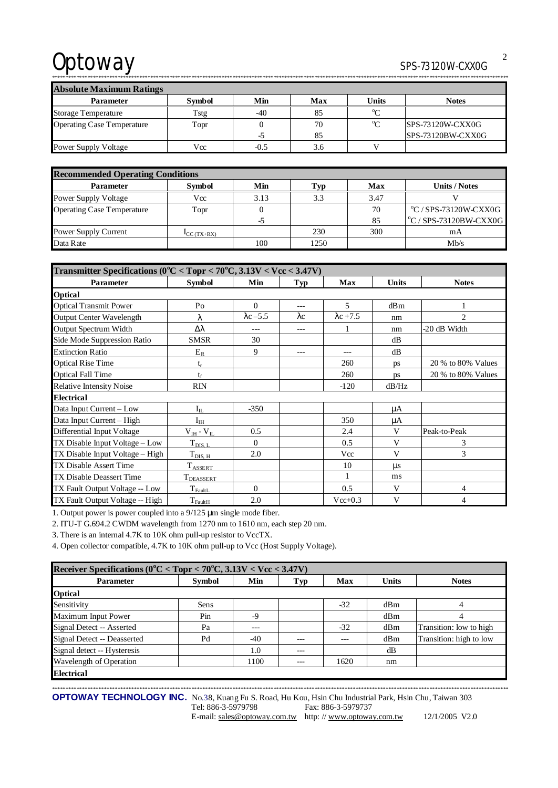# Optoway SPS-73120W-CXX0G

\*\*\*\*\*\*\*\*\*\*\*\*\*\*\*\*\*\*\*\*\*\*\*\*\*\*\*\*\*\*\*\*\*\*\*\*\*\*\*\*\*\*\*\*\*\*\*\*\*\*\*\*\*\*\*\*\*\*\*\*\*\*\*\*\*\*\*\*\*\*\*\*\*\*\*\*\*\*\*\*\*\*\*\*\*\*\*\*\*\*\*\*\*\*\*\*\*\*\*\*\*\*\*\*\*\*\*\*\*\*\*\*\*\*\*\*\*\*\*\*\*\*\*\*\*\*\*\*\*\*\*\*\*\*\*\*\*\*\*\*\*\*\*\*\*\*\*\*\*\*\*\*\*\*\*\*\*\*\*\*\*\*\*\*\*\*\*

| <b>Absolute Maximum Ratings</b>   |               |        |     |             |                         |  |  |  |
|-----------------------------------|---------------|--------|-----|-------------|-------------------------|--|--|--|
| <b>Parameter</b>                  | <b>Symbol</b> | Min    | Max | Units       | <b>Notes</b>            |  |  |  |
| Storage Temperature               | Tstg          | $-40$  | 85  | $\sim$      |                         |  |  |  |
| <b>Operating Case Temperature</b> | Topr          |        | 70  | $^{\circ}C$ | <b>SPS-73120W-CXX0G</b> |  |  |  |
|                                   |               | -5     | 85  |             | SPS-73120BW-CXX0G       |  |  |  |
| <b>Power Supply Voltage</b>       | Vcc           | $-0.5$ | 3.6 |             |                         |  |  |  |

| <b>Recommended Operating Conditions</b> |                          |      |      |      |                                 |  |  |  |
|-----------------------------------------|--------------------------|------|------|------|---------------------------------|--|--|--|
| <b>Parameter</b>                        | <b>Symbol</b>            | Min  | Typ  | Max  | Units / Notes                   |  |  |  |
| Power Supply Voltage                    | Vcc                      | 3.13 | 3.3  | 3.47 |                                 |  |  |  |
| <b>Operating Case Temperature</b>       | Topr                     |      |      | 70   | $\degree$ C / SPS-73120W-CXX0G  |  |  |  |
|                                         |                          | -5   |      | 85   | $\rm ^{o}C$ / SPS-73120BW-CXX0G |  |  |  |
| Power Supply Current                    | $\mathbf{I}_{CC(TX+RX)}$ |      | 230  | 300  | mΑ                              |  |  |  |
| Data Rate                               |                          | 100  | 1250 |      | Mh/s                            |  |  |  |

| Transmitter Specifications ( $0^{\circ}$ C < Topr < 70 $^{\circ}$ C, 3.13V < Vcc < 3.47V) |                       |                  |             |                  |              |                    |  |  |
|-------------------------------------------------------------------------------------------|-----------------------|------------------|-------------|------------------|--------------|--------------------|--|--|
| Parameter                                                                                 | <b>Symbol</b>         | Min              | Typ         | <b>Max</b>       | <b>Units</b> | <b>Notes</b>       |  |  |
| <b>Optical</b>                                                                            |                       |                  |             |                  |              |                    |  |  |
| <b>Optical Transmit Power</b>                                                             | Po                    | $\Omega$         | $---$       | 5                | dBm          |                    |  |  |
| Output Center Wavelength                                                                  | λ                     | $\lambda$ c -5.5 | $\lambda c$ | $\lambda$ c +7.5 | nm           | 2                  |  |  |
| Output Spectrum Width                                                                     | Δλ                    |                  | $---$       |                  | nm           | -20 dB Width       |  |  |
| Side Mode Suppression Ratio                                                               | <b>SMSR</b>           | 30               |             |                  | dB           |                    |  |  |
| <b>Extinction Ratio</b>                                                                   | $E_R$                 | 9                |             |                  | dB           |                    |  |  |
| <b>Optical Rise Time</b>                                                                  | $t_r$                 |                  |             | 260              | ps           | 20 % to 80% Values |  |  |
| <b>Optical Fall Time</b>                                                                  | $t_f$                 |                  |             | 260              | ps           | 20 % to 80% Values |  |  |
| <b>Relative Intensity Noise</b>                                                           | <b>RIN</b>            |                  |             | $-120$           | dB/Hz        |                    |  |  |
| <b>Electrical</b>                                                                         |                       |                  |             |                  |              |                    |  |  |
| Data Input Current - Low                                                                  | $\mathbf{I}_{\rm IL}$ | $-350$           |             |                  | μA           |                    |  |  |
| Data Input Current - High                                                                 | $\mathbf{I}_{\rm IH}$ |                  |             | 350              | μA           |                    |  |  |
| Differential Input Voltage                                                                | $V_{IH}$ - $V_{IL}$   | 0.5              |             | 2.4              | V            | Peak-to-Peak       |  |  |
| TX Disable Input Voltage - Low                                                            | $T_{\rm DIS,~L}$      | $\Omega$         |             | 0.5              | V            | 3                  |  |  |
| TX Disable Input Voltage - High                                                           | $T_{\text{DIS, H}}$   | 2.0              |             | Vcc              | V            | 3                  |  |  |
| TX Disable Assert Time                                                                    | $T_{\text{ASSERT}}$   |                  |             | 10               | $\mu$ s      |                    |  |  |
| <b>TX Disable Deassert Time</b>                                                           | T <sub>DEASSERT</sub> |                  |             | $\mathbf{1}$     | ms           |                    |  |  |
| TX Fault Output Voltage -- Low                                                            | $T_{\rm{FaultL}}$     | $\Omega$         |             | 0.5              | V            | 4                  |  |  |
| TX Fault Output Voltage -- High                                                           | $T_{\text{FaultH}}$   | 2.0              |             | $Vec{+}0.3$      | V            | $\overline{4}$     |  |  |

1. Output power is power coupled into a 9/125 μm single mode fiber.

2. ITU-T G.694.2 CWDM wavelength from 1270 nm to 1610 nm, each step 20 nm.

3. There is an internal 4.7K to 10K ohm pull-up resistor to VccTX.

4. Open collector compatible, 4.7K to 10K ohm pull-up to Vcc (Host Supply Voltage).

| Receiver Specifications ( $0^{\circ}$ C < Topr < 70 $^{\circ}$ C, 3.13V < Vcc < 3.47V) |               |       |       |       |              |                         |  |  |  |
|----------------------------------------------------------------------------------------|---------------|-------|-------|-------|--------------|-------------------------|--|--|--|
| <b>Parameter</b>                                                                       | <b>Symbol</b> | Min   | Typ   | Max   | <b>Units</b> | <b>Notes</b>            |  |  |  |
| <b>Optical</b>                                                                         |               |       |       |       |              |                         |  |  |  |
| Sensitivity                                                                            | <b>Sens</b>   |       |       | $-32$ | dBm          | 4                       |  |  |  |
| <b>Maximum Input Power</b>                                                             | Pin           | $-9$  |       |       | dBm          | 4                       |  |  |  |
| Signal Detect -- Asserted                                                              | Pa            | ---   |       | $-32$ | dBm          | Transition: low to high |  |  |  |
| Signal Detect -- Deasserted                                                            | Pd            | $-40$ | ---   | $---$ | dBm          | Transition: high to low |  |  |  |
| Signal detect -- Hysteresis                                                            |               | 1.0   | ---   |       | dB           |                         |  |  |  |
| Wavelength of Operation                                                                |               | 1100  | $---$ | 1620  | nm           |                         |  |  |  |
| <b>Electrical</b>                                                                      |               |       |       |       |              |                         |  |  |  |

\*\*\*\*\*\*\*\*\*\*\*\*\*\*\*\*\*\*\*\*\*\*\*\*\*\*\*\*\*\*\*\*\*\*\*\*\*\*\*\*\*\*\*\*\*\*\*\*\*\*\*\*\*\*\*\*\*\*\*\*\*\*\*\*\*\*\*\*\*\*\*\*\*\*\*\*\*\*\*\*\*\*\*\*\*\*\*\*\*\*\*\*\*\*\*\*\*\*\*\*\*\*\*\*\*\*\*\*\*\*\*\*\*\*\*\*\*\*\*\*\*\*\*\*\*\*\*\*\*\*\*\*\*\*\*\*\*\*\*\*\*\*\*\*\*\*\*\*\*\*\*\*\*\*\*\*\*\*\*\*\*\*\*\*\*\*\* **OPTOWAY TECHNOLOGY INC.** No.38, Kuang Fu S. Road, Hu Kou, Hsin Chu Industrial Park, Hsin Chu, Taiwan 303 Tel: 886-3-5979798 Fax: 886-3-5979737 E-mail: [sales@optoway.com.tw](mailto:sales@optoway.com.tw) http: // [www.optoway.com.tw](http://www.optoway.com.tw) 12/1/2005 V2.0

2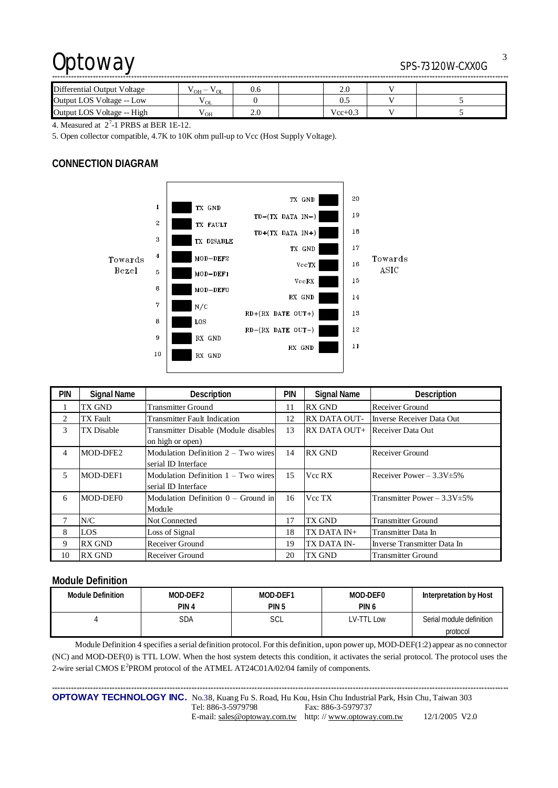## Optoway SPS-73120W-CXX0G

| Differential Output Voltage | $\mathsf{v}_{\mathrm{OH}}$ $-$<br>V OL | U.6 |  | 2.0         |  |  |  |
|-----------------------------|----------------------------------------|-----|--|-------------|--|--|--|
| Output LOS Voltage -- Low   | $\mathbf{v}_{\text{OL}}$               |     |  |             |  |  |  |
| Output LOS Voltage -- High  | ' OH                                   | 2.0 |  | $Vec{+}0.3$ |  |  |  |

4. Measured at  $2^7$ -1 PRBS at BER 1E-12.

5. Open collector compatible, 4.7K to 10K ohm pull-up to Vcc (Host Supply Voltage).

## **CONNECTION DIAGRAM**



| pin | <b>Signal Name</b> | Description                           | pin | <b>Signal Name</b> | Description                       |
|-----|--------------------|---------------------------------------|-----|--------------------|-----------------------------------|
|     | <b>TX GND</b>      | <b>Transmitter Ground</b>             | 11  | <b>RX GND</b>      | <b>Receiver Ground</b>            |
| 2   | <b>TX</b> Fault    | <b>Transmitter Fault Indication</b>   | 12  | RX DATA OUT-       | Inverse Receiver Data Out         |
| 3   | <b>TX</b> Disable  | Transmitter Disable (Module disables  | 13  | RX DATA OUT+       | Receiver Data Out                 |
|     |                    | on high or open)                      |     |                    |                                   |
| 4   | MOD-DFE2           | Modulation Definition $2 - Two wires$ | 14  | <b>RX GND</b>      | Receiver Ground                   |
|     |                    | serial ID Interface                   |     |                    |                                   |
| 5   | MOD-DEF1           | Modulation Definition $1 - Two wires$ | 15  | Vcc RX             | Receiver Power $-3.3V \pm 5\%$    |
|     |                    | serial ID Interface                   |     |                    |                                   |
| 6   | MOD-DEF0           | Modulation Definition $0 -$ Ground in | 16  | Vcc TX             | Transmitter Power $-3.3V \pm 5\%$ |
|     |                    | Module                                |     |                    |                                   |
|     | N/C                | Not Connected                         | 17  | TX GND             | <b>Transmitter Ground</b>         |
| 8   | LOS                | Loss of Signal                        | 18  | TX DATA IN+        | Transmitter Data In               |
| 9   | <b>RX GND</b>      | Receiver Ground                       | 19  | TX DATA IN-        | Inverse Transmitter Data In       |
| 10  | <b>RX GND</b>      | Receiver Ground                       | 20  | TX GND             | <b>Transmitter Ground</b>         |

## **Module Definition**

| Module Definition | MOD-DEF2         | MOD-DEF1 | MOD-DEF0         | Interpretation by Host   |
|-------------------|------------------|----------|------------------|--------------------------|
|                   | PIN <sub>4</sub> | PIN 5    | PIN <sub>6</sub> |                          |
|                   | SDA              | SCL      | LV-TTL Low       | Serial module definition |
|                   |                  |          |                  | protocol                 |

Module Definition 4 specifies a serial definition protocol. For this definition, upon power up, MOD-DEF(1:2) appear as no connector (NC) and MOD-DEF(0) is TTL LOW. When the host system detects this condition, it activates the serial protocol. The protocol uses the 2-wire serial CMOS E<sup>2</sup>PROM protocol of the ATMEL AT24C01A/02/04 family of components.

\*\*\*\*\*\*\*\*\*\*\*\*\*\*\*\*\*\*\*\*\*\*\*\*\*\*\*\*\*\*\*\*\*\*\*\*\*\*\*\*\*\*\*\*\*\*\*\*\*\*\*\*\*\*\*\*\*\*\*\*\*\*\*\*\*\*\*\*\*\*\*\*\*\*\*\*\*\*\*\*\*\*\*\*\*\*\*\*\*\*\*\*\*\*\*\*\*\*\*\*\*\*\*\*\*\*\*\*\*\*\*\*\*\*\*\*\*\*\*\*\*\*\*\*\*\*\*\*\*\*\*\*\*\*\*\*\*\*\*\*\*\*\*\*\*\*\*\*\*\*\*\*\*\*\*\*\*\*\*\*\*\*\*\*\*\*\* **OPTOWAY TECHNOLOGY INC.** No.38, Kuang Fu S. Road, Hu Kou, Hsin Chu Industrial Park, Hsin Chu, Taiwan 303 Tel: 886-3-5979798 Fax: 886-3-5979737 E-mail: [sales@optoway.com.tw](mailto:sales@optoway.com.tw) http: // [www.optoway.com.tw](http://www.optoway.com.tw) 12/1/2005 V2.0

3